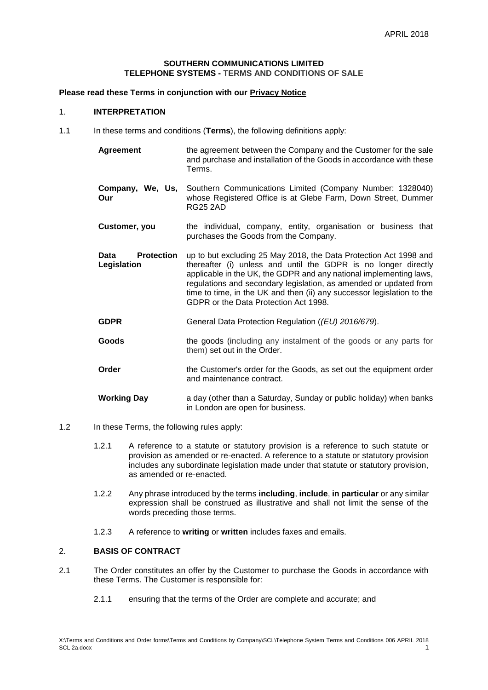#### **SOUTHERN COMMUNICATIONS LIMITED TELEPHONE SYSTEMS - TERMS AND CONDITIONS OF SALE**

## **Please read these Terms in conjunction with our [Privacy Notice](https://www.southern-comms.co.uk/wp-content/uploads/2018/04/GDPR-Privacy-Notice-004-MB-SCL.pdf)**

#### 1. **INTERPRETATION**

- 1.1 In these terms and conditions (**Terms**), the following definitions apply:
	- **Agreement** the agreement between the Company and the Customer for the sale and purchase and installation of the Goods in accordance with these Terms.
	- **Company, We, Us, Our** Southern Communications Limited (Company Number: 1328040) whose Registered Office is at Glebe Farm, Down Street, Dummer RG25 2AD
	- **Customer, you** the individual, company, entity, organisation or business that purchases the Goods from the Company.
	- **Data Protection Legislation** up to but excluding 25 May 2018, the Data Protection Act 1998 and thereafter (i) unless and until the GDPR is no longer directly applicable in the UK, the GDPR and any national implementing laws, regulations and secondary legislation, as amended or updated from time to time, in the UK and then (ii) any successor legislation to the GDPR or the Data Protection Act 1998.
	- **GDPR** General Data Protection Regulation (*(EU) 2016/679*).
	- **Goods** the goods (including any instalment of the goods or any parts for them) set out in the Order.
	- **Order** the Customer's order for the Goods, as set out the equipment order and maintenance contract.
	- **Working Day** a day (other than a Saturday, Sunday or public holiday) when banks in London are open for business.
- 1.2 In these Terms, the following rules apply:
	- 1.2.1 A reference to a statute or statutory provision is a reference to such statute or provision as amended or re-enacted. A reference to a statute or statutory provision includes any subordinate legislation made under that statute or statutory provision, as amended or re-enacted.
	- 1.2.2 Any phrase introduced by the terms **including**, **include**, **in particular** or any similar expression shall be construed as illustrative and shall not limit the sense of the words preceding those terms.
	- 1.2.3 A reference to **writing** or **written** includes faxes and emails.

# 2. **BASIS OF CONTRACT**

- 2.1 The Order constitutes an offer by the Customer to purchase the Goods in accordance with these Terms. The Customer is responsible for:
	- 2.1.1 ensuring that the terms of the Order are complete and accurate; and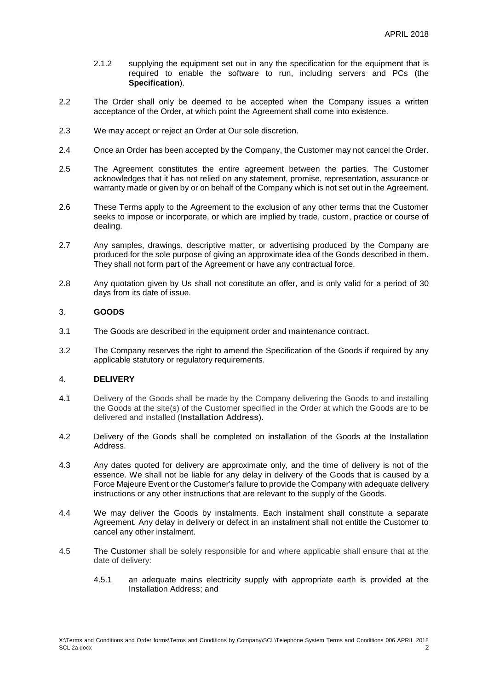- 2.1.2 supplying the equipment set out in any the specification for the equipment that is required to enable the software to run, including servers and PCs (the **Specification**).
- 2.2 The Order shall only be deemed to be accepted when the Company issues a written acceptance of the Order, at which point the Agreement shall come into existence.
- 2.3 We may accept or reject an Order at Our sole discretion.
- 2.4 Once an Order has been accepted by the Company, the Customer may not cancel the Order.
- 2.5 The Agreement constitutes the entire agreement between the parties. The Customer acknowledges that it has not relied on any statement, promise, representation, assurance or warranty made or given by or on behalf of the Company which is not set out in the Agreement.
- 2.6 These Terms apply to the Agreement to the exclusion of any other terms that the Customer seeks to impose or incorporate, or which are implied by trade, custom, practice or course of dealing.
- 2.7 Any samples, drawings, descriptive matter, or advertising produced by the Company are produced for the sole purpose of giving an approximate idea of the Goods described in them. They shall not form part of the Agreement or have any contractual force.
- 2.8 Any quotation given by Us shall not constitute an offer, and is only valid for a period of 30 days from its date of issue.

# 3. **GOODS**

- 3.1 The Goods are described in the equipment order and maintenance contract.
- 3.2 The Company reserves the right to amend the Specification of the Goods if required by any applicable statutory or regulatory requirements.

# 4. **DELIVERY**

- 4.1 Delivery of the Goods shall be made by the Company delivering the Goods to and installing the Goods at the site(s) of the Customer specified in the Order at which the Goods are to be delivered and installed (**Installation Address**).
- 4.2 Delivery of the Goods shall be completed on installation of the Goods at the Installation Address.
- 4.3 Any dates quoted for delivery are approximate only, and the time of delivery is not of the essence. We shall not be liable for any delay in delivery of the Goods that is caused by a Force Majeure Event or the Customer's failure to provide the Company with adequate delivery instructions or any other instructions that are relevant to the supply of the Goods.
- 4.4 We may deliver the Goods by instalments. Each instalment shall constitute a separate Agreement. Any delay in delivery or defect in an instalment shall not entitle the Customer to cancel any other instalment.
- 4.5 The Customer shall be solely responsible for and where applicable shall ensure that at the date of delivery:
	- 4.5.1 an adequate mains electricity supply with appropriate earth is provided at the Installation Address; and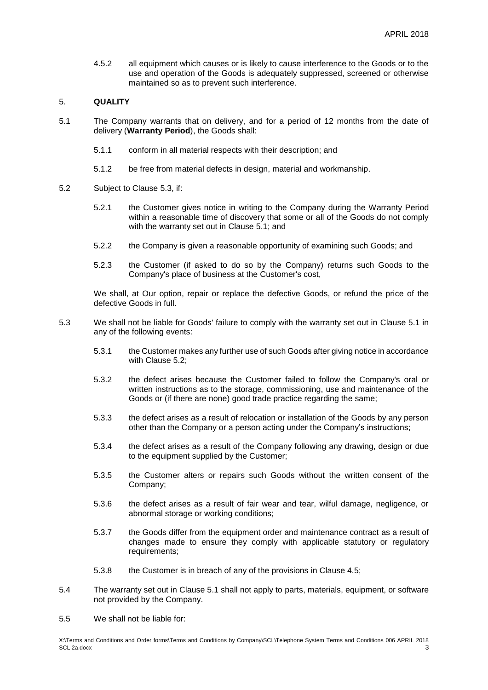4.5.2 all equipment which causes or is likely to cause interference to the Goods or to the use and operation of the Goods is adequately suppressed, screened or otherwise maintained so as to prevent such interference.

#### <span id="page-2-3"></span>5. **QUALITY**

- <span id="page-2-1"></span>5.1 The Company warrants that on delivery, and for a period of 12 months from the date of delivery (**Warranty Period**), the Goods shall:
	- 5.1.1 conform in all material respects with their description; and
	- 5.1.2 be free from material defects in design, material and workmanship.
- <span id="page-2-2"></span>5.2 Subject to Clause [5.3,](#page-2-0) if:
	- 5.2.1 the Customer gives notice in writing to the Company during the Warranty Period within a reasonable time of discovery that some or all of the Goods do not comply with the warranty set out in Clause [5.1;](#page-2-1) and
	- 5.2.2 the Company is given a reasonable opportunity of examining such Goods; and
	- 5.2.3 the Customer (if asked to do so by the Company) returns such Goods to the Company's place of business at the Customer's cost,

We shall, at Our option, repair or replace the defective Goods, or refund the price of the defective Goods in full.

- <span id="page-2-0"></span>5.3 We shall not be liable for Goods' failure to comply with the warranty set out in Clause [5.1](#page-2-1) in any of the following events:
	- 5.3.1 the Customer makes any further use of such Goods after giving notice in accordance with Clause [5.2;](#page-2-2)
	- 5.3.2 the defect arises because the Customer failed to follow the Company's oral or written instructions as to the storage, commissioning, use and maintenance of the Goods or (if there are none) good trade practice regarding the same;
	- 5.3.3 the defect arises as a result of relocation or installation of the Goods by any person other than the Company or a person acting under the Company's instructions;
	- 5.3.4 the defect arises as a result of the Company following any drawing, design or due to the equipment supplied by the Customer;
	- 5.3.5 the Customer alters or repairs such Goods without the written consent of the Company;
	- 5.3.6 the defect arises as a result of fair wear and tear, wilful damage, negligence, or abnormal storage or working conditions;
	- 5.3.7 the Goods differ from the equipment order and maintenance contract as a result of changes made to ensure they comply with applicable statutory or regulatory requirements;
	- 5.3.8 the Customer is in breach of any of the provisions in Clause 4.5;
- 5.4 The warranty set out in Clause 5.1 shall not apply to parts, materials, equipment, or software not provided by the Company.
- 5.5 We shall not be liable for: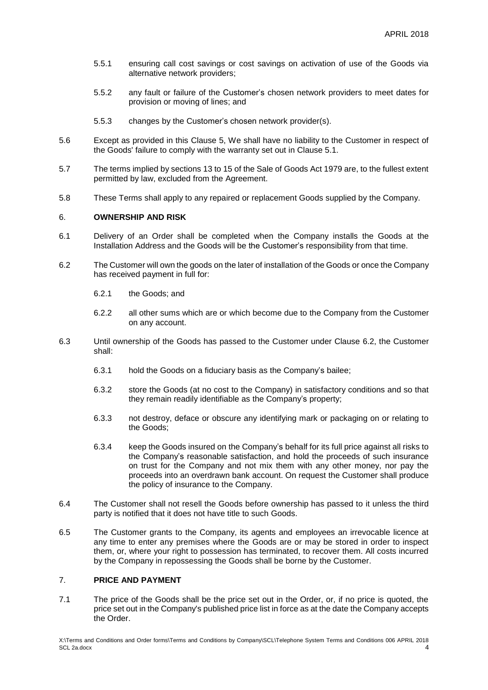- 5.5.1 ensuring call cost savings or cost savings on activation of use of the Goods via alternative network providers;
- 5.5.2 any fault or failure of the Customer's chosen network providers to meet dates for provision or moving of lines; and
- 5.5.3 changes by the Customer's chosen network provider(s).
- 5.6 Except as provided in this Clause [5,](#page-2-3) We shall have no liability to the Customer in respect of the Goods' failure to comply with the warranty set out in Clause [5.1.](#page-2-1)
- 5.7 The terms implied by sections 13 to 15 of the Sale of Goods Act 1979 are, to the fullest extent permitted by law, excluded from the Agreement.
- 5.8 These Terms shall apply to any repaired or replacement Goods supplied by the Company.

#### 6. **OWNERSHIP AND RISK**

- 6.1 Delivery of an Order shall be completed when the Company installs the Goods at the Installation Address and the Goods will be the Customer's responsibility from that time.
- 6.2 The Customer will own the goods on the later of installation of the Goods or once the Company has received payment in full for:
	- 6.2.1 the Goods; and
	- 6.2.2 all other sums which are or which become due to the Company from the Customer on any account.
- 6.3 Until ownership of the Goods has passed to the Customer under Clause 6.2, the Customer shall:
	- 6.3.1 hold the Goods on a fiduciary basis as the Company's bailee;
	- 6.3.2 store the Goods (at no cost to the Company) in satisfactory conditions and so that they remain readily identifiable as the Company's property;
	- 6.3.3 not destroy, deface or obscure any identifying mark or packaging on or relating to the Goods;
	- 6.3.4 keep the Goods insured on the Company's behalf for its full price against all risks to the Company's reasonable satisfaction, and hold the proceeds of such insurance on trust for the Company and not mix them with any other money, nor pay the proceeds into an overdrawn bank account. On request the Customer shall produce the policy of insurance to the Company.
- 6.4 The Customer shall not resell the Goods before ownership has passed to it unless the third party is notified that it does not have title to such Goods.
- 6.5 The Customer grants to the Company, its agents and employees an irrevocable licence at any time to enter any premises where the Goods are or may be stored in order to inspect them, or, where your right to possession has terminated, to recover them. All costs incurred by the Company in repossessing the Goods shall be borne by the Customer.

#### 7. **PRICE AND PAYMENT**

7.1 The price of the Goods shall be the price set out in the Order, or, if no price is quoted, the price set out in the Company's published price list in force as at the date the Company accepts the Order.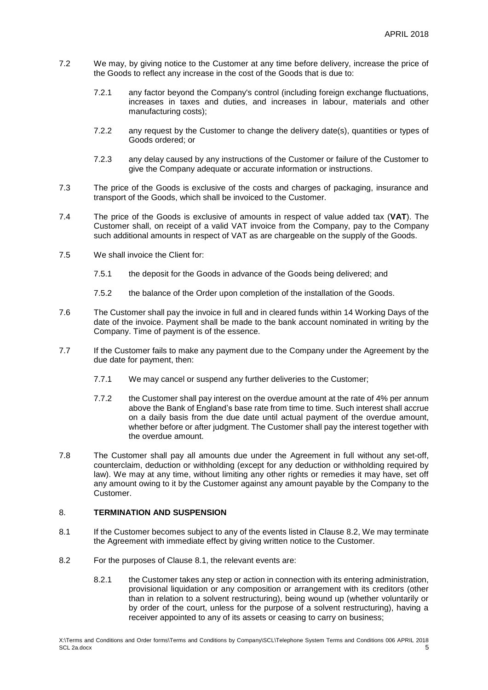- 7.2 We may, by giving notice to the Customer at any time before delivery, increase the price of the Goods to reflect any increase in the cost of the Goods that is due to:
	- 7.2.1 any factor beyond the Company's control (including foreign exchange fluctuations, increases in taxes and duties, and increases in labour, materials and other manufacturing costs);
	- 7.2.2 any request by the Customer to change the delivery date(s), quantities or types of Goods ordered; or
	- 7.2.3 any delay caused by any instructions of the Customer or failure of the Customer to give the Company adequate or accurate information or instructions.
- 7.3 The price of the Goods is exclusive of the costs and charges of packaging, insurance and transport of the Goods, which shall be invoiced to the Customer.
- 7.4 The price of the Goods is exclusive of amounts in respect of value added tax (**VAT**). The Customer shall, on receipt of a valid VAT invoice from the Company, pay to the Company such additional amounts in respect of VAT as are chargeable on the supply of the Goods.
- 7.5 We shall invoice the Client for:
	- 7.5.1 the deposit for the Goods in advance of the Goods being delivered; and
	- 7.5.2 the balance of the Order upon completion of the installation of the Goods.
- 7.6 The Customer shall pay the invoice in full and in cleared funds within 14 Working Days of the date of the invoice. Payment shall be made to the bank account nominated in writing by the Company. Time of payment is of the essence.
- 7.7 If the Customer fails to make any payment due to the Company under the Agreement by the due date for payment, then:
	- 7.7.1 We may cancel or suspend any further deliveries to the Customer;
	- 7.7.2 the Customer shall pay interest on the overdue amount at the rate of 4% per annum above the Bank of England's base rate from time to time. Such interest shall accrue on a daily basis from the due date until actual payment of the overdue amount, whether before or after judgment. The Customer shall pay the interest together with the overdue amount.
- 7.8 The Customer shall pay all amounts due under the Agreement in full without any set-off, counterclaim, deduction or withholding (except for any deduction or withholding required by law). We may at any time, without limiting any other rights or remedies it may have, set off any amount owing to it by the Customer against any amount payable by the Company to the Customer.

## 8. **TERMINATION AND SUSPENSION**

- <span id="page-4-1"></span>8.1 If the Customer becomes subject to any of the events listed in Clause [8.2,](#page-4-0) We may terminate the Agreement with immediate effect by giving written notice to the Customer.
- <span id="page-4-0"></span>8.2 For the purposes of Clause [8.1,](#page-4-1) the relevant events are:
	- 8.2.1 the Customer takes any step or action in connection with its entering administration, provisional liquidation or any composition or arrangement with its creditors (other than in relation to a solvent restructuring), being wound up (whether voluntarily or by order of the court, unless for the purpose of a solvent restructuring), having a receiver appointed to any of its assets or ceasing to carry on business;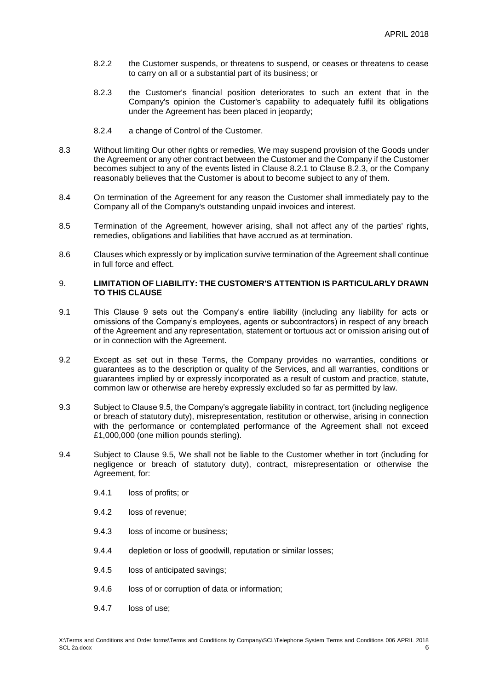- 8.2.2 the Customer suspends, or threatens to suspend, or ceases or threatens to cease to carry on all or a substantial part of its business; or
- 8.2.3 the Customer's financial position deteriorates to such an extent that in the Company's opinion the Customer's capability to adequately fulfil its obligations under the Agreement has been placed in jeopardy;
- 8.2.4 a change of Control of the Customer.
- 8.3 Without limiting Our other rights or remedies, We may suspend provision of the Goods under the Agreement or any other contract between the Customer and the Company if the Customer becomes subject to any of the events listed in Clause 8.2.1 to Clause 8.2.3, or the Company reasonably believes that the Customer is about to become subject to any of them.
- 8.4 On termination of the Agreement for any reason the Customer shall immediately pay to the Company all of the Company's outstanding unpaid invoices and interest.
- 8.5 Termination of the Agreement, however arising, shall not affect any of the parties' rights, remedies, obligations and liabilities that have accrued as at termination.
- 8.6 Clauses which expressly or by implication survive termination of the Agreement shall continue in full force and effect.

## 9. **LIMITATION OF LIABILITY: THE CUSTOMER'S ATTENTION IS PARTICULARLY DRAWN TO THIS CLAUSE**

- 9.1 This Clause 9 sets out the Company's entire liability (including any liability for acts or omissions of the Company's employees, agents or subcontractors) in respect of any breach of the Agreement and any representation, statement or tortuous act or omission arising out of or in connection with the Agreement.
- 9.2 Except as set out in these Terms, the Company provides no warranties, conditions or guarantees as to the description or quality of the Services, and all warranties, conditions or guarantees implied by or expressly incorporated as a result of custom and practice, statute, common law or otherwise are hereby expressly excluded so far as permitted by law.
- 9.3 Subject to Clause 9.5, the Company's aggregate liability in contract, tort (including negligence or breach of statutory duty), misrepresentation, restitution or otherwise, arising in connection with the performance or contemplated performance of the Agreement shall not exceed £1,000,000 (one million pounds sterling).
- 9.4 Subject to Clause 9.5, We shall not be liable to the Customer whether in tort (including for negligence or breach of statutory duty), contract, misrepresentation or otherwise the Agreement, for:
	- 9.4.1 loss of profits; or
	- 9.4.2 loss of revenue;
	- 9.4.3 loss of income or business;
	- 9.4.4 depletion or loss of goodwill, reputation or similar losses;
	- 9.4.5 loss of anticipated savings;
	- 9.4.6 loss of or corruption of data or information;
	- 9.4.7 loss of use;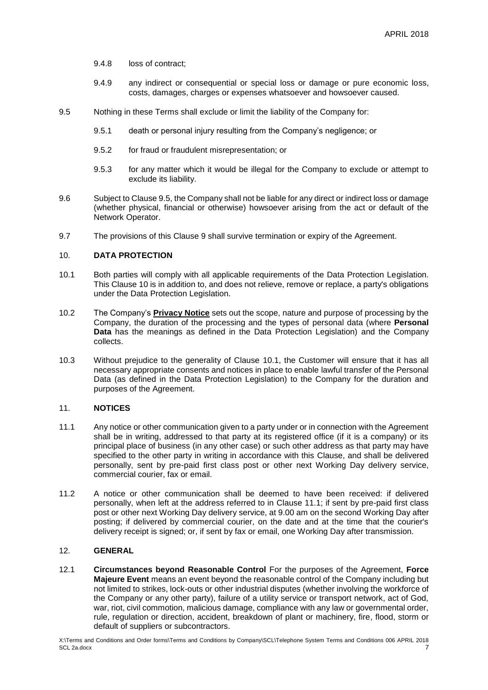- 9.4.8 loss of contract;
- 9.4.9 any indirect or consequential or special loss or damage or pure economic loss, costs, damages, charges or expenses whatsoever and howsoever caused.
- 9.5 Nothing in these Terms shall exclude or limit the liability of the Company for:
	- 9.5.1 death or personal injury resulting from the Company's negligence; or
	- 9.5.2 for fraud or fraudulent misrepresentation; or
	- 9.5.3 for any matter which it would be illegal for the Company to exclude or attempt to exclude its liability.
- 9.6 Subject to Clause 9.5, the Company shall not be liable for any direct or indirect loss or damage (whether physical, financial or otherwise) howsoever arising from the act or default of the Network Operator.
- 9.7 The provisions of this Clause 9 shall survive termination or expiry of the Agreement.

# 10. **DATA PROTECTION**

- <span id="page-6-0"></span>10.1 Both parties will comply with all applicable requirements of the Data Protection Legislation. This Clause 10 is in addition to, and does not relieve, remove or replace, a party's obligations under the Data Protection Legislation.
- 10.2 The Company's **[Privacy Notice](https://www.southern-comms.co.uk/wp-content/uploads/2018/04/GDPR-Privacy-Notice-004-MB-SCL.pdf)** sets out the scope, nature and purpose of processing by the Company, the duration of the processing and the types of personal data (where **Personal Data** has the meanings as defined in the Data Protection Legislation) and the Company collects.
- 10.3 Without prejudice to the generality of Clause [10.1,](#page-6-0) the Customer will ensure that it has all necessary appropriate consents and notices in place to enable lawful transfer of the Personal Data (as defined in the Data Protection Legislation) to the Company for the duration and purposes of the Agreement.

#### 11. **NOTICES**

- <span id="page-6-1"></span>11.1 Any notice or other communication given to a party under or in connection with the Agreement shall be in writing, addressed to that party at its registered office (if it is a company) or its principal place of business (in any other case) or such other address as that party may have specified to the other party in writing in accordance with this Clause, and shall be delivered personally, sent by pre-paid first class post or other next Working Day delivery service, commercial courier, fax or email.
- 11.2 A notice or other communication shall be deemed to have been received: if delivered personally, when left at the address referred to in Clause [11.1;](#page-6-1) if sent by pre-paid first class post or other next Working Day delivery service, at 9.00 am on the second Working Day after posting; if delivered by commercial courier, on the date and at the time that the courier's delivery receipt is signed; or, if sent by fax or email, one Working Day after transmission.

## 12. **GENERAL**

12.1 **Circumstances beyond Reasonable Control** For the purposes of the Agreement, **Force Majeure Event** means an event beyond the reasonable control of the Company including but not limited to strikes, lock-outs or other industrial disputes (whether involving the workforce of the Company or any other party), failure of a utility service or transport network, act of God, war, riot, civil commotion, malicious damage, compliance with any law or governmental order, rule, regulation or direction, accident, breakdown of plant or machinery, fire, flood, storm or default of suppliers or subcontractors.